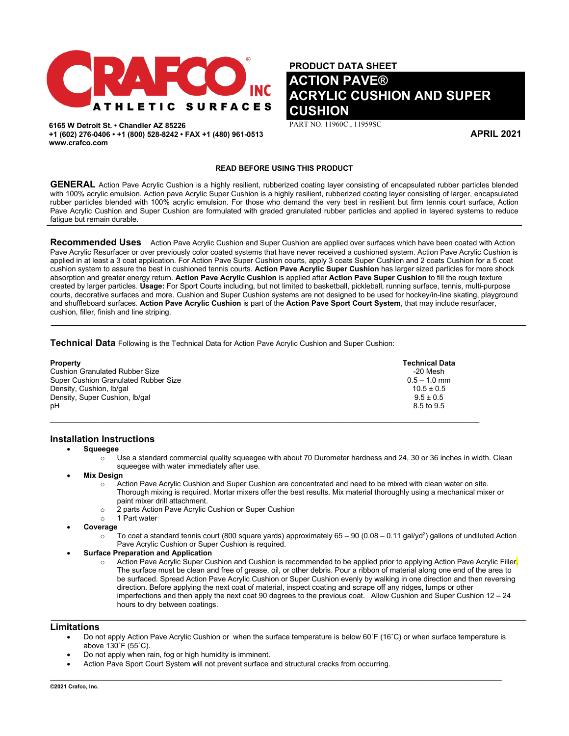

**6165 W Detroit St. • Chandler AZ 85226 +1 (602) 276-0406 • +1 (800) 528-8242 • FAX +1 (480) 961-0513 www.crafco.com**

**PRODUCT DATA SHEET ACTION PAVE® ACRYLIC CUSHION AND SUPER CUSHION** 

PART NO. 11960C , 11959SC

**APRIL 2021**

## **READ BEFORE USING THIS PRODUCT**

GENERAL Action Pave Acrylic Cushion is a highly resilient, rubberized coating layer consisting of encapsulated rubber particles blended with 100% acrylic emulsion. Action pave Acrylic Super Cushion is a highly resilient, rubberized coating layer consisting of larger, encapsulated rubber particles blended with 100% acrylic emulsion. For those who demand the very best in resilient but firm tennis court surface, Action Pave Acrylic Cushion and Super Cushion are formulated with graded granulated rubber particles and applied in layered systems to reduce fatigue but remain durable.

**Recommended Uses** Action Pave Acrylic Cushion and Super Cushion are applied over surfaces which have been coated with Action Pave Acrylic Resurfacer or over previously color coated systems that have never received a cushioned system. Action Pave Acrylic Cushion is applied in at least a 3 coat application. For Action Pave Super Cushion courts, apply 3 coats Super Cushion and 2 coats Cushion for a 5 coat cushion system to assure the best in cushioned tennis courts. **Action Pave Acrylic Super Cushion** has larger sized particles for more shock absorption and greater energy return. **Action Pave Acrylic Cushion** is applied after **Action Pave Super Cushion** to fill the rough texture created by larger particles. **Usage:** For Sport Courts including, but not limited to basketball, pickleball, running surface, tennis, multi-purpose courts, decorative surfaces and more. Cushion and Super Cushion systems are not designed to be used for hockey/in-line skating, playground and shuffleboard surfaces. **Action Pave Acrylic Cushion** is part of the **Action Pave Sport Court System**, that may include resurfacer, cushion, filler, finish and line striping.

**Technical Data** Following is the Technical Data for Action Pave Acrylic Cushion and Super Cushion:

| <b>Property</b><br><b>Cushion Granulated Rubber Size</b> | <b>Technical Data</b><br>-20 Mesh |
|----------------------------------------------------------|-----------------------------------|
| Super Cushion Granulated Rubber Size                     | $0.5 - 1.0$ mm                    |
| Density, Cushion, Ib/gal                                 | $10.5 \pm 0.5$                    |
| Density, Super Cushion, Ib/gal                           | $9.5 \pm 0.5$                     |
| pН                                                       | 8.5 to 9.5                        |

## **Installation Instructions**

• **Squeegee**

- $\circ$  Use a standard commercial quality squeeqee with about 70 Durometer hardness and 24, 30 or 36 inches in width. Clean squeegee with water immediately after use.
- **Mix Design** 
	- $\circ$  Action Pave Acrylic Cushion and Super Cushion are concentrated and need to be mixed with clean water on site. Thorough mixing is required. Mortar mixers offer the best results. Mix material thoroughly using a mechanical mixer or paint mixer drill attachment.
	- $\circ$  2 parts Action Pave Acrylic Cushion or Super Cushion  $\circ$  1 Part water
	- 1 Part water
- **Coverage**
	- $\circ$  To coat a standard tennis court (800 square yards) approximately 65 90 (0.08 0.11 gal/yd²) gallons of undiluted Action Pave Acrylic Cushion or Super Cushion is required.
- **Surface Preparation and Application**
	- $\circ$  Action Pave Acrylic Super Cushion and Cushion is recommended to be applied prior to applying Action Pave Acrylic Filler. The surface must be clean and free of grease, oil, or other debris. Pour a ribbon of material along one end of the area to be surfaced. Spread Action Pave Acrylic Cushion or Super Cushion evenly by walking in one direction and then reversing direction. Before applying the next coat of material, inspect coating and scrape off any ridges, lumps or other imperfections and then apply the next coat 90 degrees to the previous coat. Allow Cushion and Super Cushion 12 – 24 hours to dry between coatings.

### **Limitations**

• Do not apply Action Pave Acrylic Cushion or when the surface temperature is below 60˚F (16˚C) or when surface temperature is above 130˚F (55˚C).

 $\mathcal{L}_\mathcal{L} = \mathcal{L}_\mathcal{L} = \mathcal{L}_\mathcal{L} = \mathcal{L}_\mathcal{L} = \mathcal{L}_\mathcal{L} = \mathcal{L}_\mathcal{L} = \mathcal{L}_\mathcal{L} = \mathcal{L}_\mathcal{L} = \mathcal{L}_\mathcal{L} = \mathcal{L}_\mathcal{L} = \mathcal{L}_\mathcal{L} = \mathcal{L}_\mathcal{L} = \mathcal{L}_\mathcal{L} = \mathcal{L}_\mathcal{L} = \mathcal{L}_\mathcal{L} = \mathcal{L}_\mathcal{L} = \mathcal{L}_\mathcal{L}$ 

- Do not apply when rain, fog or high humidity is imminent.
- Action Pave Sport Court System will not prevent surface and structural cracks from occurring.